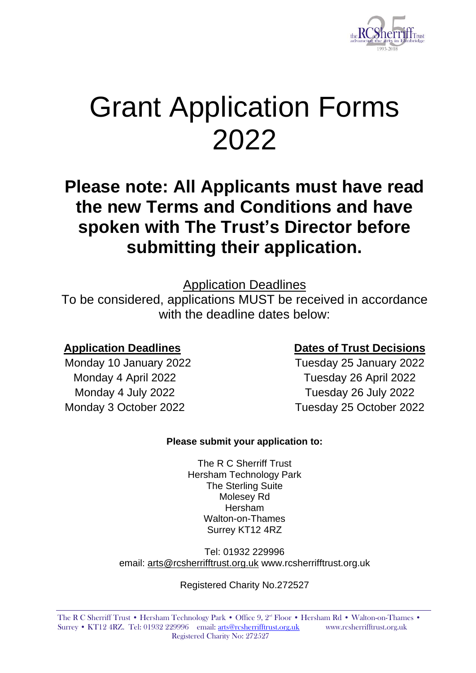

# Grant Application Forms 2022

# **Please note: All Applicants must have read the new Terms and Conditions and have spoken with The Trust's Director before submitting their application.**

Application Deadlines

To be considered, applications MUST be received in accordance with the deadline dates below:

### **Application Deadlines Dates of Trust Decisions**

Monday 10 January 2022 Tuesday 25 January 2022 Monday 4 April 2022 Tuesday 26 April 2022 Monday 4 July 2022 Tuesday 26 July 2022 Monday 3 October 2022 Tuesday 25 October 2022

#### **Please submit your application to:**

The R C Sherriff Trust Hersham Technology Park The Sterling Suite Molesey Rd Hersham Walton-on-Thames Surrey KT12 4RZ

Tel: 01932 229996 email: arts@rcsherrifftrust.org.uk www.rcsherrifftrust.org.uk

Registered Charity No.272527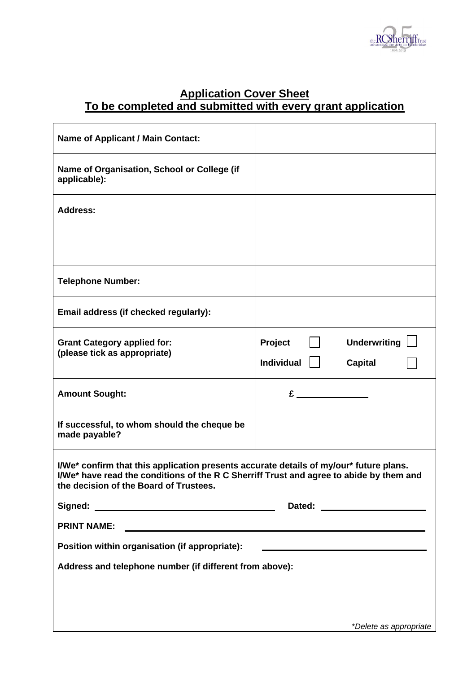

#### **Application Cover Sheet To be completed and submitted with every grant application**

| <b>Name of Applicant / Main Contact:</b>                                                                                                                                                                                    |                   |                               |  |
|-----------------------------------------------------------------------------------------------------------------------------------------------------------------------------------------------------------------------------|-------------------|-------------------------------|--|
| Name of Organisation, School or College (if<br>applicable):                                                                                                                                                                 |                   |                               |  |
| <b>Address:</b>                                                                                                                                                                                                             |                   |                               |  |
|                                                                                                                                                                                                                             |                   |                               |  |
| <b>Telephone Number:</b>                                                                                                                                                                                                    |                   |                               |  |
| Email address (if checked regularly):                                                                                                                                                                                       |                   |                               |  |
| <b>Grant Category applied for:</b><br>(please tick as appropriate)                                                                                                                                                          | Project           | Underwriting                  |  |
|                                                                                                                                                                                                                             | <b>Individual</b> | <b>Capital</b>                |  |
| <b>Amount Sought:</b>                                                                                                                                                                                                       | £.                |                               |  |
| If successful, to whom should the cheque be<br>made payable?                                                                                                                                                                |                   |                               |  |
| I/We* confirm that this application presents accurate details of my/our* future plans.<br>I/We* have read the conditions of the R C Sherriff Trust and agree to abide by them and<br>the decision of the Board of Trustees. |                   |                               |  |
|                                                                                                                                                                                                                             | Dated:            | <u> 1980 - John Barbara (</u> |  |
| <b>PRINT NAME:</b>                                                                                                                                                                                                          |                   |                               |  |
| Position within organisation (if appropriate):                                                                                                                                                                              |                   |                               |  |
| Address and telephone number (if different from above):                                                                                                                                                                     |                   |                               |  |
|                                                                                                                                                                                                                             |                   |                               |  |
|                                                                                                                                                                                                                             |                   |                               |  |
|                                                                                                                                                                                                                             |                   | *Delete as appropriate        |  |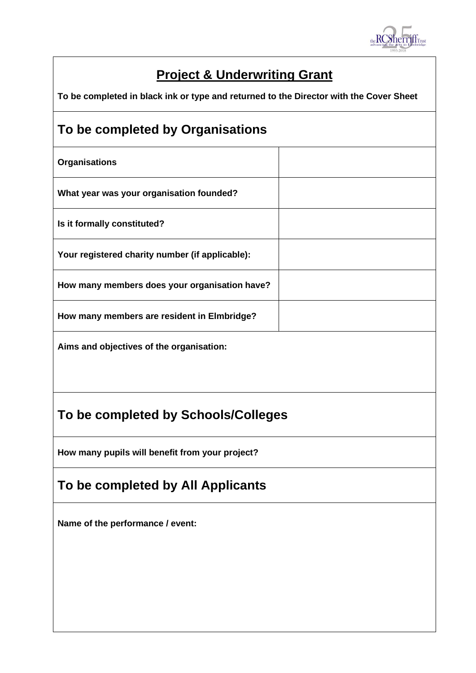

# **Project & Underwriting Grant**

**To be completed in black ink or type and returned to the Director with the Cover Sheet**

## **To be completed by Organisations**

**Organisations What year was your organisation founded? Is it formally constituted? Your registered charity number (if applicable): How many members does your organisation have? How many members are resident in Elmbridge?**

**Aims and objectives of the organisation:**

# **To be completed by Schools/Colleges**

**How many pupils will benefit from your project?**

# **To be completed by All Applicants**

**Name of the performance / event:**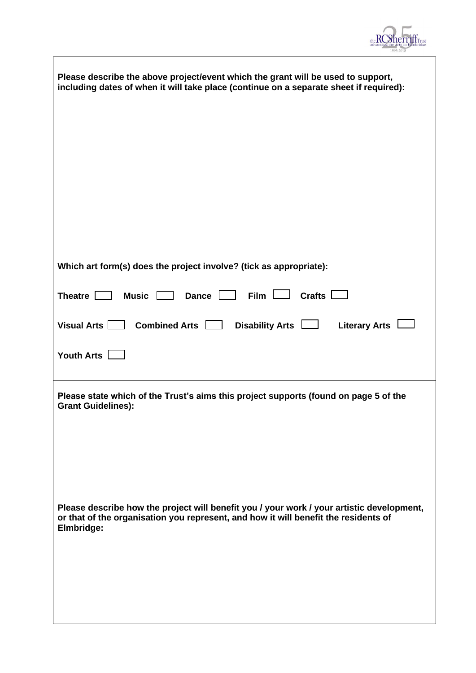

| Please describe the above project/event which the grant will be used to support,<br>including dates of when it will take place (continue on a separate sheet if required):                     |
|------------------------------------------------------------------------------------------------------------------------------------------------------------------------------------------------|
|                                                                                                                                                                                                |
| Which art form(s) does the project involve? (tick as appropriate):                                                                                                                             |
| Dance $\Box$ Film $\Box$<br>Theatre $\Box$<br>Crafts $\Box$<br>Music <b>N</b>                                                                                                                  |
| Visual Arts  <br>Combined Arts $\boxed{\phantom{1}}$<br>Disability Arts $\Box$<br><b>Literary Arts</b>                                                                                         |
| Youth Arts $\Box$                                                                                                                                                                              |
| Please state which of the Trust's aims this project supports (found on page 5 of the<br><b>Grant Guidelines):</b>                                                                              |
| Please describe how the project will benefit you / your work / your artistic development,<br>or that of the organisation you represent, and how it will benefit the residents of<br>Elmbridge: |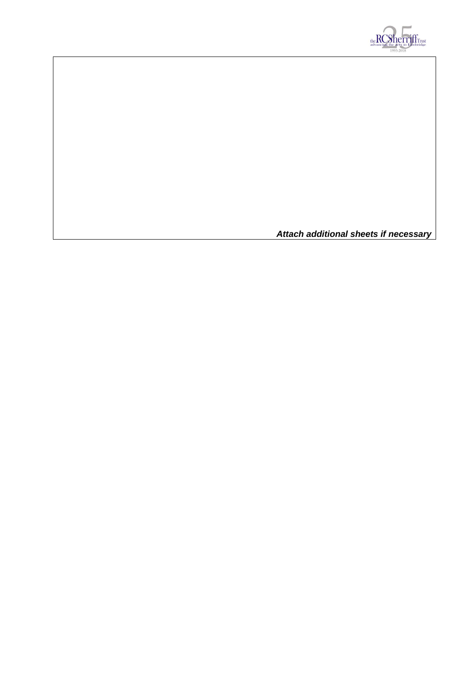

*Attach additional sheets if necessary*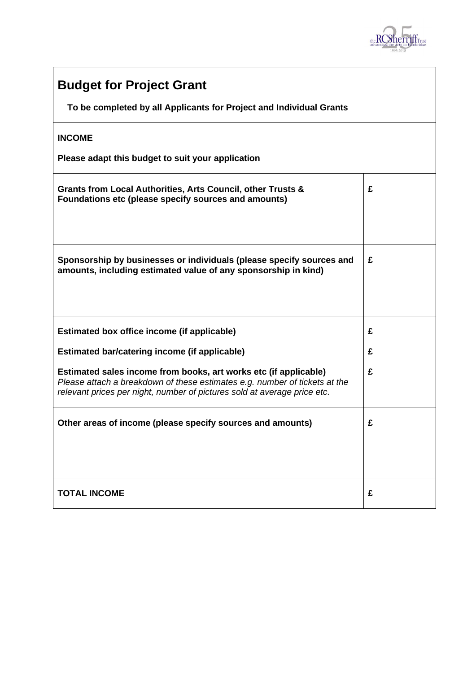

| <b>Budget for Project Grant</b>                                                                                                                                                                                            |   |  |
|----------------------------------------------------------------------------------------------------------------------------------------------------------------------------------------------------------------------------|---|--|
| To be completed by all Applicants for Project and Individual Grants                                                                                                                                                        |   |  |
| <b>INCOME</b>                                                                                                                                                                                                              |   |  |
| Please adapt this budget to suit your application                                                                                                                                                                          |   |  |
| Grants from Local Authorities, Arts Council, other Trusts &<br>Foundations etc (please specify sources and amounts)                                                                                                        | £ |  |
| Sponsorship by businesses or individuals (please specify sources and<br>amounts, including estimated value of any sponsorship in kind)                                                                                     | £ |  |
| Estimated box office income (if applicable)                                                                                                                                                                                | £ |  |
| <b>Estimated bar/catering income (if applicable)</b>                                                                                                                                                                       | £ |  |
| Estimated sales income from books, art works etc (if applicable)<br>Please attach a breakdown of these estimates e.g. number of tickets at the<br>relevant prices per night, number of pictures sold at average price etc. | £ |  |
| Other areas of income (please specify sources and amounts)                                                                                                                                                                 | £ |  |
| <b>TOTAL INCOME</b>                                                                                                                                                                                                        | £ |  |

 $\mathbf{r}$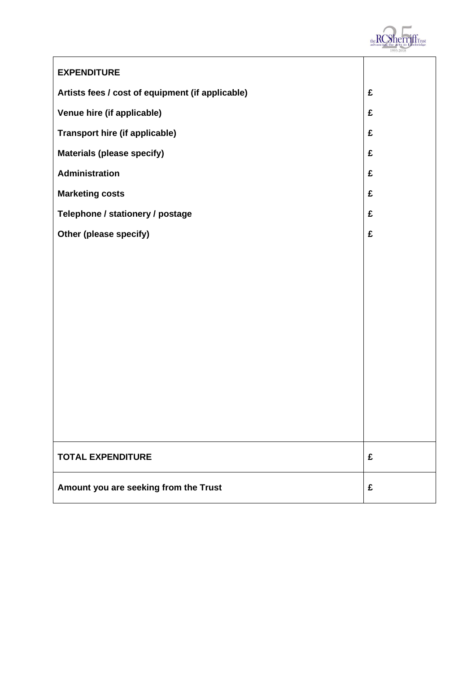

| <b>EXPENDITURE</b>                               |   |
|--------------------------------------------------|---|
| Artists fees / cost of equipment (if applicable) | £ |
| Venue hire (if applicable)                       | £ |
| <b>Transport hire (if applicable)</b>            | £ |
| <b>Materials (please specify)</b>                | £ |
| <b>Administration</b>                            | £ |
| <b>Marketing costs</b>                           | £ |
| Telephone / stationery / postage                 | £ |
| Other (please specify)                           | £ |
|                                                  |   |
|                                                  |   |
|                                                  |   |
|                                                  |   |
|                                                  |   |
|                                                  |   |
|                                                  |   |
|                                                  |   |
|                                                  |   |
|                                                  |   |
| <b>TOTAL EXPENDITURE</b>                         | £ |
| Amount you are seeking from the Trust            | £ |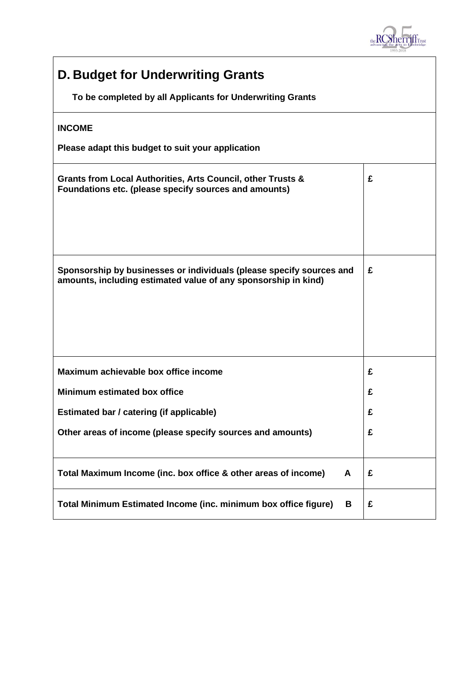

| <b>D. Budget for Underwriting Grants</b>                                                                                               |   |  |  |  |
|----------------------------------------------------------------------------------------------------------------------------------------|---|--|--|--|
| To be completed by all Applicants for Underwriting Grants                                                                              |   |  |  |  |
| <b>INCOME</b>                                                                                                                          |   |  |  |  |
| Please adapt this budget to suit your application                                                                                      |   |  |  |  |
| Grants from Local Authorities, Arts Council, other Trusts &<br>Foundations etc. (please specify sources and amounts)                   | £ |  |  |  |
| Sponsorship by businesses or individuals (please specify sources and<br>amounts, including estimated value of any sponsorship in kind) | £ |  |  |  |
| Maximum achievable box office income                                                                                                   | £ |  |  |  |
| Minimum estimated box office                                                                                                           | £ |  |  |  |
| Estimated bar / catering (if applicable)                                                                                               | £ |  |  |  |
| Other areas of income (please specify sources and amounts)                                                                             | £ |  |  |  |
| Total Maximum Income (inc. box office & other areas of income)<br>A                                                                    | £ |  |  |  |
| Total Minimum Estimated Income (inc. minimum box office figure)<br>B                                                                   | £ |  |  |  |